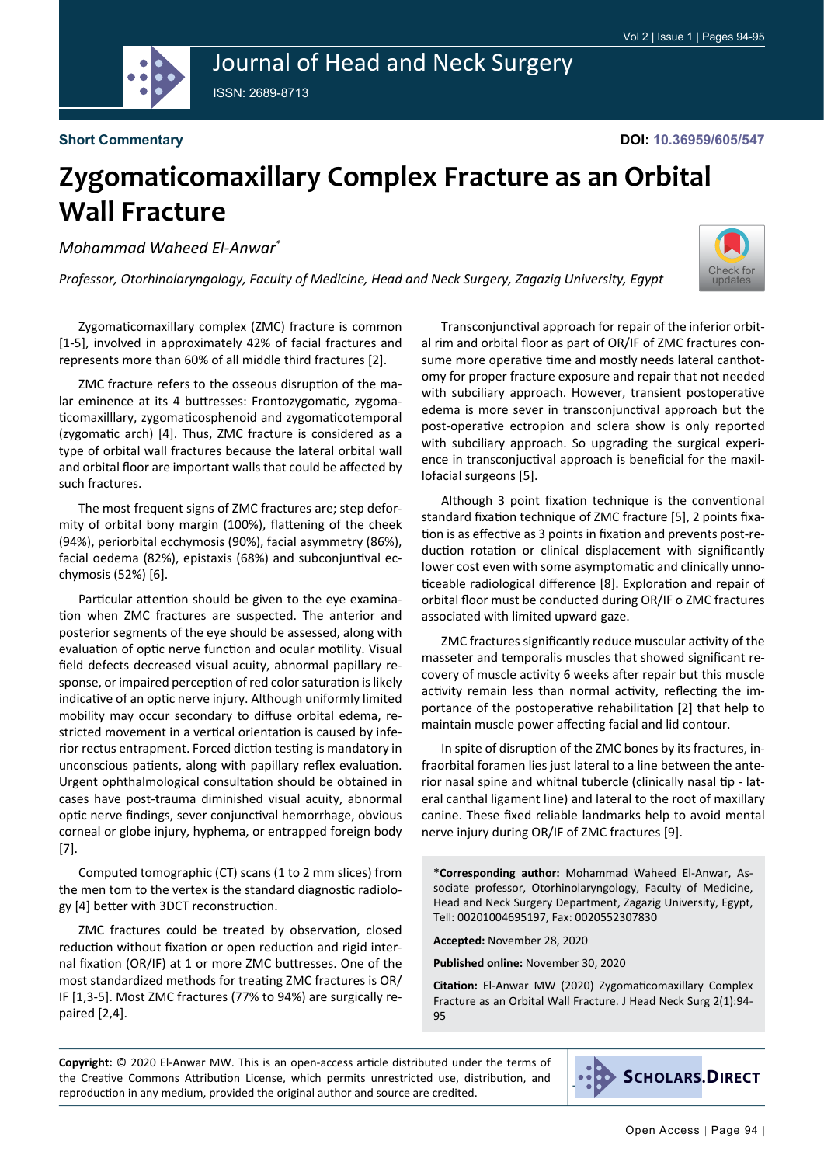

## Journal of Head and Neck Surgery ISSN: 2689-8713

**Short Commentary**

## **Zygomaticomaxillary Complex Fracture as an Orbital Wall Fracture**

*Mohammad Waheed El-Anwar\**

*Professor, Otorhinolaryngology, Faculty of Medicine, Head and Neck Surgery, Zagazig University, Egypt*



Zygomaticomaxillary complex (ZMC) fracture is common [1-5], involved in approximately 42% of facial fractures and represents more than 60% of all middle third fractures [2].

ZMC fracture refers to the osseous disruption of the malar eminence at its 4 buttresses: Frontozygomatic, zygomaticomaxilllary, zygomaticosphenoid and zygomaticotemporal (zygomatic arch) [4]. Thus, ZMC fracture is considered as a type of orbital wall fractures because the lateral orbital wall and orbital floor are important walls that could be affected by such fractures.

The most frequent signs of ZMC fractures are; step deformity of orbital bony margin (100%), flattening of the cheek (94%), periorbital ecchymosis (90%), facial asymmetry (86%), facial oedema (82%), epistaxis (68%) and subconjuntival ecchymosis (52%) [6].

Particular attention should be given to the eye examination when ZMC fractures are suspected. The anterior and posterior segments of the eye should be assessed, along with evaluation of optic nerve function and ocular motility. Visual field defects decreased visual acuity, abnormal papillary response, or impaired perception of red color saturation is likely indicative of an optic nerve injury. Although uniformly limited mobility may occur secondary to diffuse orbital edema, restricted movement in a vertical orientation is caused by inferior rectus entrapment. Forced diction testing is mandatory in unconscious patients, along with papillary reflex evaluation. Urgent ophthalmological consultation should be obtained in cases have post-trauma diminished visual acuity, abnormal optic nerve findings, sever conjunctival hemorrhage, obvious corneal or globe injury, hyphema, or entrapped foreign body [7].

Computed tomographic (CT) scans (1 to 2 mm slices) from the men tom to the vertex is the standard diagnostic radiology [4] better with 3DCT reconstruction.

ZMC fractures could be treated by observation, closed reduction without fixation or open reduction and rigid internal fixation (OR/IF) at 1 or more ZMC buttresses. One of the most standardized methods for treating ZMC fractures is OR/ IF [1,3-5]. Most ZMC fractures (77% to 94%) are surgically repaired [2,4].

Transconjunctival approach for repair of the inferior orbital rim and orbital floor as part of OR/IF of ZMC fractures consume more operative time and mostly needs lateral canthotomy for proper fracture exposure and repair that not needed with subciliary approach. However, transient postoperative edema is more sever in transconjunctival approach but the post-operative ectropion and sclera show is only reported with subciliary approach. So upgrading the surgical experience in transconjuctival approach is beneficial for the maxillofacial surgeons [5].

Although 3 point fixation technique is the conventional standard fixation technique of ZMC fracture [5], 2 points fixation is as effective as 3 points in fixation and prevents post-reduction rotation or clinical displacement with significantly lower cost even with some asymptomatic and clinically unnoticeable radiological difference [8]. Exploration and repair of orbital floor must be conducted during OR/IF o ZMC fractures associated with limited upward gaze.

ZMC fractures significantly reduce muscular activity of the masseter and temporalis muscles that showed significant recovery of muscle activity 6 weeks after repair but this muscle activity remain less than normal activity, reflecting the importance of the postoperative rehabilitation [2] that help to maintain muscle power affecting facial and lid contour.

In spite of disruption of the ZMC bones by its fractures, infraorbital foramen lies just lateral to a line between the anterior nasal spine and whitnal tubercle (clinically nasal tip - lateral canthal ligament line) and lateral to the root of maxillary canine. These fixed reliable landmarks help to avoid mental nerve injury during OR/IF of ZMC fractures [9].

**\*Corresponding author:** Mohammad Waheed El-Anwar, Associate professor, Otorhinolaryngology, Faculty of Medicine, Head and Neck Surgery Department, Zagazig University, Egypt, Tell: 00201004695197, Fax: 0020552307830

**Accepted:** November 28, 2020

**Published online:** November 30, 2020

**Citation:** El-Anwar MW (2020) Zygomaticomaxillary Complex Fracture as an Orbital Wall Fracture. J Head Neck Surg 2(1):94- 95

**Copyright:** © 2020 El-Anwar MW. This is an open-access article distributed under the terms of the Creative Commons Attribution License, which permits unrestricted use, distribution, and reproduction in any medium, provided the original author and source are credited.